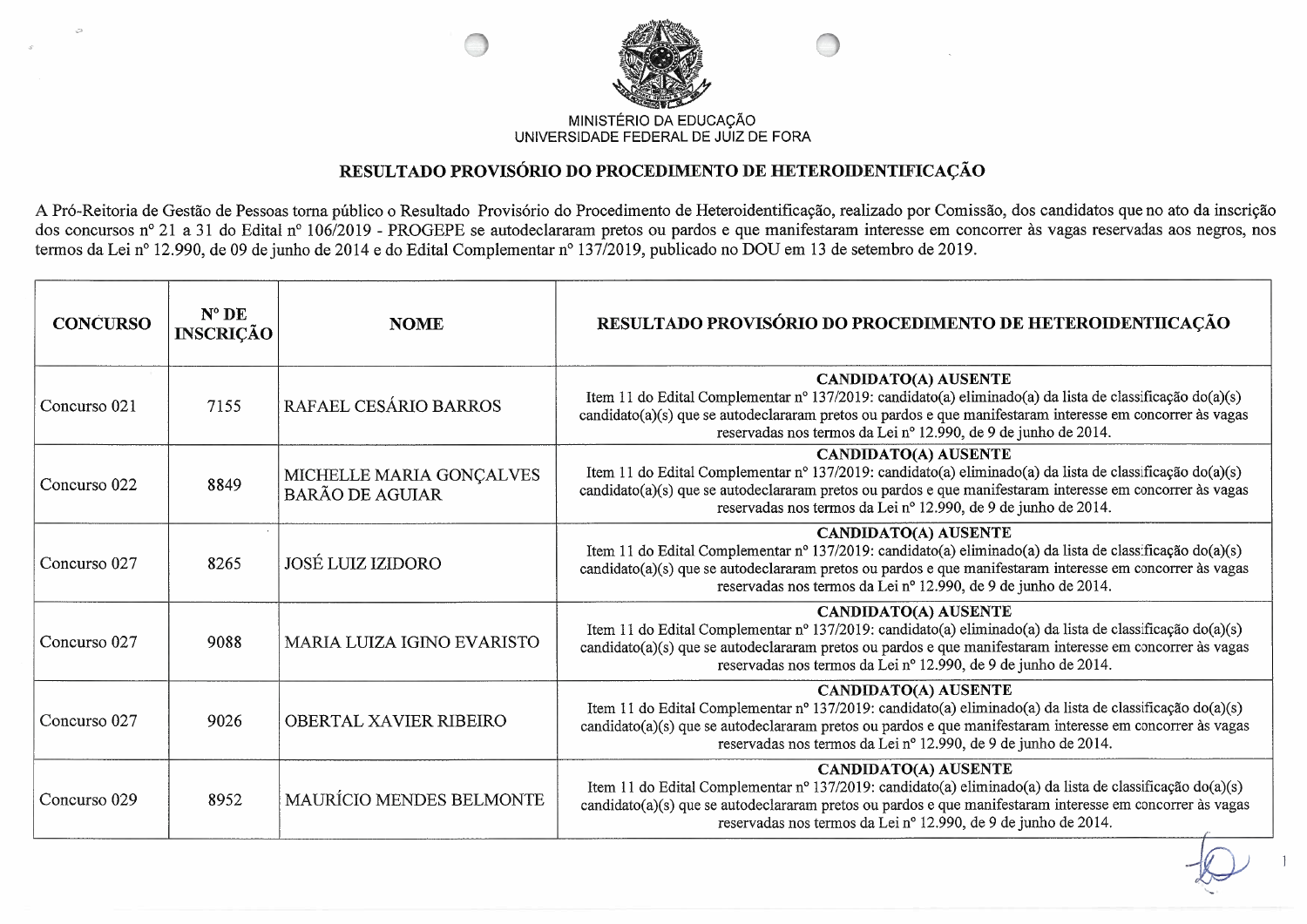

## MINISTÉRIO DA EDUCAÇÃO UNIVERSIDADE FEDERAL DE JUIZ DE FORA

## RESULTADO PROVISÓRIO DO PROCEDIMENTO DE HETEROIDENTIFICAÇÃO

A Pró-Reitoria de Gestão de Pessoas torna público o Resultado Provisório do Procedimento de Heteroidentificação, realizado por Comissão, dos candidatos que no ato da inscrição dos concursos nº 21 a 31 do Edital nº 106/2019 - PROGEPE se autodeclararam pretos ou pardos e que manifestaram interesse em concorrer às vagas reservadas aos negros, nos termos da Lei nº 12.990, de 09 de junho de 2014 e do

| <b>CONCURSO</b> | $N^{\circ}$ DE<br><b>INSCRIÇÃO</b> | <b>NOME</b>                                        | RESULTADO PROVISÓRIO DO PROCEDIMENTO DE HETEROIDENTIICAÇÃO                                                                                                                                                                                                                                                             |
|-----------------|------------------------------------|----------------------------------------------------|------------------------------------------------------------------------------------------------------------------------------------------------------------------------------------------------------------------------------------------------------------------------------------------------------------------------|
| Concurso 021    | 7155                               | RAFAEL CESÁRIO BARROS                              | <b>CANDIDATO(A) AUSENTE</b><br>Item 11 do Edital Complementar nº 137/2019: candidato(a) eliminado(a) da lista de classificação do(a)(s)<br>candidato(a)(s) que se autodeclararam pretos ou pardos e que manifestaram interesse em concorrer às vagas<br>reservadas nos termos da Lei nº 12.990, de 9 de junho de 2014. |
| Concurso 022    | 8849                               | MICHELLE MARIA GONÇALVES<br><b>BARÃO DE AGUIAR</b> | <b>CANDIDATO(A) AUSENTE</b><br>Item 11 do Edital Complementar nº 137/2019: candidato(a) eliminado(a) da lista de classificação do(a)(s)<br>candidato(a)(s) que se autodeclararam pretos ou pardos e que manifestaram interesse em concorrer às vagas<br>reservadas nos termos da Lei nº 12.990, de 9 de junho de 2014. |
| Concurso 027    | 8265                               | JOSÉ LUIZ IZIDORO                                  | <b>CANDIDATO(A) AUSENTE</b><br>Item 11 do Edital Complementar nº 137/2019: candidato(a) eliminado(a) da lista de classificação do(a)(s)<br>candidato(a)(s) que se autodeclararam pretos ou pardos e que manifestaram interesse em concorrer às vagas<br>reservadas nos termos da Lei nº 12.990, de 9 de junho de 2014. |
| Concurso 027    | 9088                               | MARIA LUIZA IGINO EVARISTO                         | <b>CANDIDATO(A) AUSENTE</b><br>Item 11 do Edital Complementar nº 137/2019: candidato(a) eliminado(a) da lista de classificação do(a)(s)<br>candidato(a)(s) que se autodeclararam pretos ou pardos e que manifestaram interesse em concorrer às vagas<br>reservadas nos termos da Lei nº 12.990, de 9 de junho de 2014. |
| Concurso 027    | 9026                               | <b>OBERTAL XAVIER RIBEIRO</b>                      | <b>CANDIDATO(A) AUSENTE</b><br>Item 11 do Edital Complementar nº 137/2019: candidato(a) eliminado(a) da lista de classificação do(a)(s)<br>candidato(a)(s) que se autodeclararam pretos ou pardos e que manifestaram interesse em concorrer às vagas<br>reservadas nos termos da Lei nº 12.990, de 9 de junho de 2014. |
| Concurso 029    | 8952                               | MAURÍCIO MENDES BELMONTE                           | <b>CANDIDATO(A) AUSENTE</b><br>Item 11 do Edital Complementar nº 137/2019: candidato(a) eliminado(a) da lista de classificação do(a)(s)<br>candidato(a)(s) que se autodeclararam pretos ou pardos e que manifestaram interesse em concorrer às vagas<br>reservadas nos termos da Lei nº 12.990, de 9 de junho de 2014. |